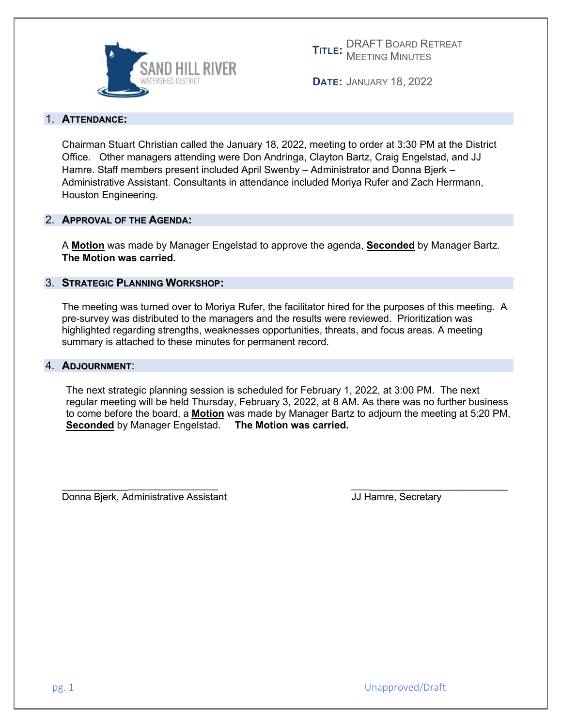

**TITLE:** DRAFT BOARD RETREAT MEETING MINUTES

**DATE:** JANUARY 18, 2022

#### 1. **ATTENDANCE:**

Chairman Stuart Christian called the January 18, 2022, meeting to order at 3:30 PM at the District Office. Other managers attending were Don Andringa, Clayton Bartz, Craig Engelstad, and JJ Hamre. Staff members present included April Swenby – Administrator and Donna Bjerk – Administrative Assistant. Consultants in attendance included Moriya Rufer and Zach Herrmann, Houston Engineering.

#### 2. **APPROVAL OF THE AGENDA:**

A **Motion** was made by Manager Engelstad to approve the agenda, **Seconded** by Manager Bartz. **The Motion was carried.** 

#### 3. **STRATEGIC PLANNING WORKSHOP:**

The meeting was turned over to Moriya Rufer, the facilitator hired for the purposes of this meeting. A pre-survey was distributed to the managers and the results were reviewed. Prioritization was highlighted regarding strengths, weaknesses opportunities, threats, and focus areas. A meeting summary is attached to these minutes for permanent record.

#### 4. **ADJOURNMENT**:

The next strategic planning session is scheduled for February 1, 2022, at 3:00 PM. The next regular meeting will be held Thursday, February 3, 2022, at 8 AM**.** As there was no further business to come before the board, a **Motion** was made by Manager Bartz to adjourn the meeting at 5:20 PM, **Seconded** by Manager Engelstad. **The Motion was carried.** 

Donna Bjerk, Administrative Assistant **July 10** Secretary Assessment Recretary

\_\_\_\_\_\_\_\_\_\_\_\_\_\_\_\_\_\_\_\_\_\_\_\_\_\_\_\_\_\_\_\_ \_\_\_\_\_\_\_\_\_\_\_\_\_\_\_\_\_\_\_\_\_\_\_\_\_\_\_\_\_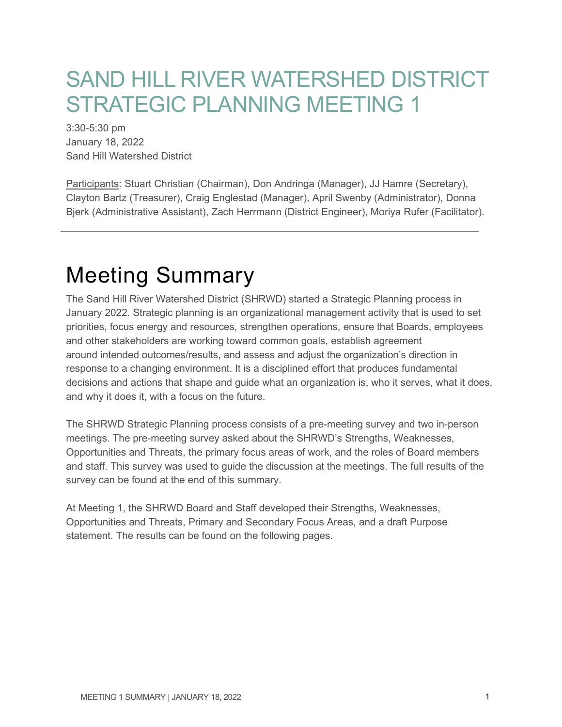## SAND HILL RIVER WATERSHED DISTRICT STRATEGIC PLANNING MEETING 1

3:30-5:30 pm January 18, 2022 Sand Hill Watershed District

Participants: Stuart Christian (Chairman), Don Andringa (Manager), JJ Hamre (Secretary), Clayton Bartz (Treasurer), Craig Englestad (Manager), April Swenby (Administrator), Donna Bjerk (Administrative Assistant), Zach Herrmann (District Engineer), Moriya Rufer (Facilitator).

# Meeting Summary

The Sand Hill River Watershed District (SHRWD) started a Strategic Planning process in January 2022. Strategic planning is an organizational management activity that is used to set priorities, focus energy and resources, strengthen operations, ensure that Boards, employees and other stakeholders are working toward common goals, establish agreement around intended outcomes/results, and assess and adjust the organization's direction in response to a changing environment. It is a disciplined effort that produces fundamental decisions and actions that shape and guide what an organization is, who it serves, what it does, and why it does it, with a focus on the future.

The SHRWD Strategic Planning process consists of a pre-meeting survey and two in-person meetings. The pre-meeting survey asked about the SHRWD's Strengths, Weaknesses, Opportunities and Threats, the primary focus areas of work, and the roles of Board members and staff. This survey was used to guide the discussion at the meetings. The full results of the survey can be found at the end of this summary.

At Meeting 1, the SHRWD Board and Staff developed their Strengths, Weaknesses, Opportunities and Threats, Primary and Secondary Focus Areas, and a draft Purpose statement. The results can be found on the following pages.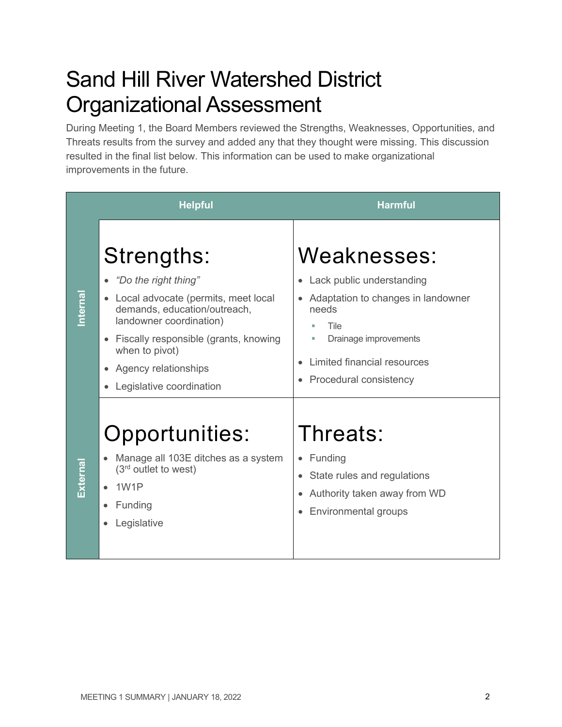# Sand Hill River Watershed District Organizational Assessment

During Meeting 1, the Board Members reviewed the Strengths, Weaknesses, Opportunities, and Threats results from the survey and added any that they thought were missing. This discussion resulted in the final list below. This information can be used to make organizational improvements in the future.

| <b>Helpful</b> |                                                                                                                                                                                                                                                                  | <b>Harmful</b>                                                                                                                                                                                       |
|----------------|------------------------------------------------------------------------------------------------------------------------------------------------------------------------------------------------------------------------------------------------------------------|------------------------------------------------------------------------------------------------------------------------------------------------------------------------------------------------------|
| Internal       | Strengths:<br>"Do the right thing"<br>Local advocate (permits, meet local<br>demands, education/outreach,<br>landowner coordination)<br>Fiscally responsible (grants, knowing<br>$\bullet$<br>when to pivot)<br>Agency relationships<br>Legislative coordination | Weaknesses:<br>Lack public understanding<br>$\bullet$<br>Adaptation to changes in landowner<br>needs<br>Tile<br>Drainage improvements<br>m.<br>Limited financial resources<br>Procedural consistency |
| External       | Opportunities:<br>Manage all 103E ditches as a system<br>$(3rd$ outlet to west)<br>1W1P<br>Funding<br>Legislative                                                                                                                                                | Threats:<br>$\bullet$ Funding<br>State rules and regulations<br>Authority taken away from WD<br>Environmental groups                                                                                 |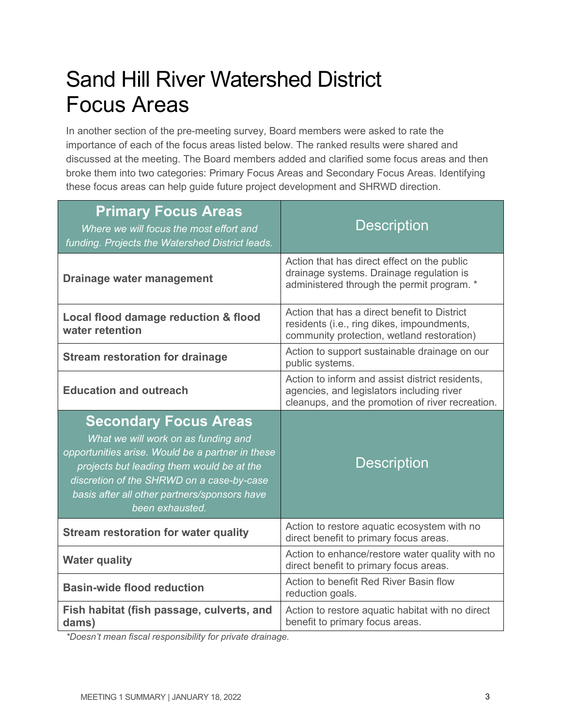# Sand Hill River Watershed District Focus Areas

In another section of the pre-meeting survey, Board members were asked to rate the importance of each of the focus areas listed below. The ranked results were shared and discussed at the meeting. The Board members added and clarified some focus areas and then broke them into two categories: Primary Focus Areas and Secondary Focus Areas. Identifying these focus areas can help guide future project development and SHRWD direction.

| <b>Primary Focus Areas</b><br>Where we will focus the most effort and<br>funding. Projects the Watershed District leads.                                                                                                                                                             | <b>Description</b>                                                                                                                               |
|--------------------------------------------------------------------------------------------------------------------------------------------------------------------------------------------------------------------------------------------------------------------------------------|--------------------------------------------------------------------------------------------------------------------------------------------------|
| Drainage water management                                                                                                                                                                                                                                                            | Action that has direct effect on the public<br>drainage systems. Drainage regulation is<br>administered through the permit program. *            |
| Local flood damage reduction & flood<br>water retention                                                                                                                                                                                                                              | Action that has a direct benefit to District<br>residents (i.e., ring dikes, impoundments,<br>community protection, wetland restoration)         |
| <b>Stream restoration for drainage</b>                                                                                                                                                                                                                                               | Action to support sustainable drainage on our<br>public systems.                                                                                 |
| <b>Education and outreach</b>                                                                                                                                                                                                                                                        | Action to inform and assist district residents,<br>agencies, and legislators including river<br>cleanups, and the promotion of river recreation. |
| <b>Secondary Focus Areas</b><br>What we will work on as funding and<br>opportunities arise. Would be a partner in these<br>projects but leading them would be at the<br>discretion of the SHRWD on a case-by-case<br>basis after all other partners/sponsors have<br>been exhausted. | <b>Description</b>                                                                                                                               |
| <b>Stream restoration for water quality</b>                                                                                                                                                                                                                                          | Action to restore aquatic ecosystem with no<br>direct benefit to primary focus areas.                                                            |
| <b>Water quality</b>                                                                                                                                                                                                                                                                 | Action to enhance/restore water quality with no<br>direct benefit to primary focus areas.                                                        |
| <b>Basin-wide flood reduction</b>                                                                                                                                                                                                                                                    | Action to benefit Red River Basin flow<br>reduction goals.                                                                                       |
| Fish habitat (fish passage, culverts, and<br>dams)                                                                                                                                                                                                                                   | Action to restore aquatic habitat with no direct<br>benefit to primary focus areas.                                                              |

*\*Doesn't mean fiscal responsibility for private drainage.*